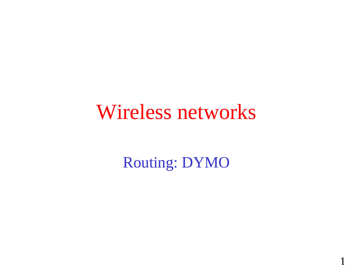#### Wireless networks

Routing: DYMO

1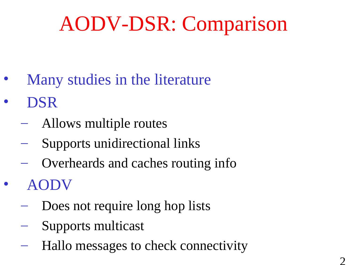## AODV-DSR: Comparison

- Many studies in the literature
- DSR
	- Allows multiple routes
	- Supports unidirectional links
	- Overheards and caches routing info
- AODV
	- Does not require long hop lists
	- Supports multicast
	- Hallo messages to check connectivity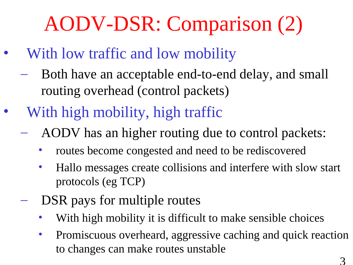# AODV-DSR: Comparison (2)

- With low traffic and low mobility
	- Both have an acceptable end-to-end delay, and small routing overhead (control packets)
- With high mobility, high traffic
	- AODV has an higher routing due to control packets:
		- routes become congested and need to be rediscovered
		- Hallo messages create collisions and interfere with slow start protocols (eg TCP)
	- DSR pays for multiple routes
		- With high mobility it is difficult to make sensible choices
		- Promiscuous overheard, aggressive caching and quick reaction to changes can make routes unstable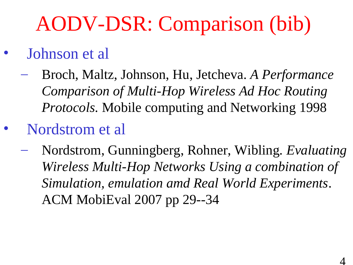# AODV-DSR: Comparison (bib)

- Johnson et al
	- Broch, Maltz, Johnson, Hu, Jetcheva. *A Performance Comparison of Multi-Hop Wireless Ad Hoc Routing Protocols.* Mobile computing and Networking 1998
- Nordstrom et al
	- Nordstrom, Gunningberg, Rohner, Wibling*. Evaluating Wireless Multi-Hop Networks Using a combination of Simulation, emulation amd Real World Experiments*. ACM MobiEval 2007 pp 29--34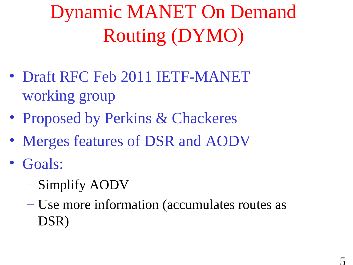## Dynamic MANET On Demand Routing (DYMO)

- Draft RFC Feb 2011 IETF-MANET working group
- Proposed by Perkins & Chackeres
- Merges features of DSR and AODV
- Goals:
	- Simplify AODV
	- Use more information (accumulates routes as DSR)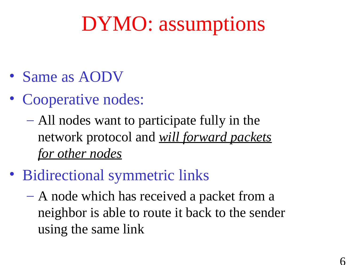## DYMO: assumptions

- Same as AODV
- Cooperative nodes:
	- All nodes want to participate fully in the network protocol and *will forward packets for other nodes*
- Bidirectional symmetric links
	- A node which has received a packet from a neighbor is able to route it back to the sender using the same link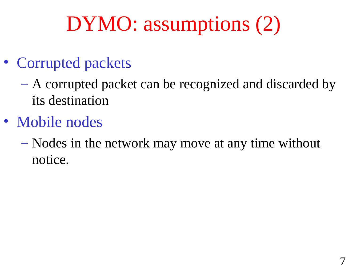## DYMO: assumptions (2)

- Corrupted packets
	- A corrupted packet can be recognized and discarded by its destination
- Mobile nodes
	- Nodes in the network may move at any time without notice.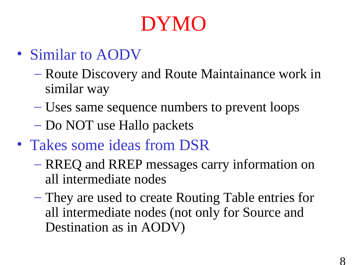## DYMO

- Similar to AODV
	- Route Discovery and Route Maintainance work in similar way
	- Uses same sequence numbers to prevent loops
	- Do NOT use Hallo packets
- Takes some ideas from DSR
	- RREQ and RREP messages carry information on all intermediate nodes
	- They are used to create Routing Table entries for all intermediate nodes (not only for Source and Destination as in AODV)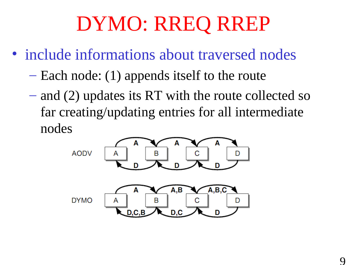## DYMO: RREQ RREP

- include informations about traversed nodes
	- Each node: (1) appends itself to the route
	- and (2) updates its RT with the route collected so far creating/updating entries for all intermediate nodes

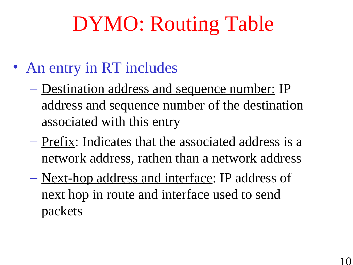## DYMO: Routing Table

- An entry in RT includes
	- Destination address and sequence number: IP address and sequence number of the destination associated with this entry
	- Prefix: Indicates that the associated address is a network address, rathen than a network address
	- Next-hop address and interface: IP address of next hop in route and interface used to send packets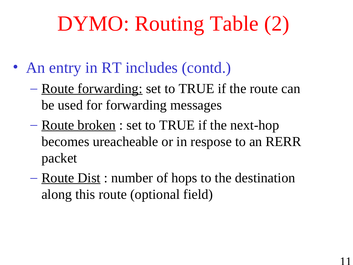## DYMO: Routing Table (2)

- An entry in RT includes (contd.)
	- Route forwarding: set to TRUE if the route can be used for forwarding messages
	- Route broken : set to TRUE if the next-hop becomes ureacheable or in respose to an RERR packet
	- $-$  Route Dist : number of hops to the destination along this route (optional field)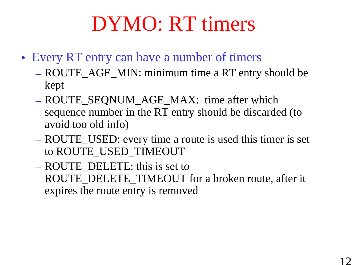## DYMO: RT timers

- Every RT entry can have a number of timers
	- ROUTE\_AGE\_MIN: minimum time a RT entry should be kept
	- ROUTE\_SEQNUM\_AGE\_MAX: time after which sequence number in the RT entry should be discarded (to avoid too old info)
	- ROUTE\_USED: every time a route is used this timer is set to ROUTE\_USED\_TIMEOUT
	- ROUTE\_DELETE: this is set to ROUTE\_DELETE\_TIMEOUT for a broken route, after it expires the route entry is removed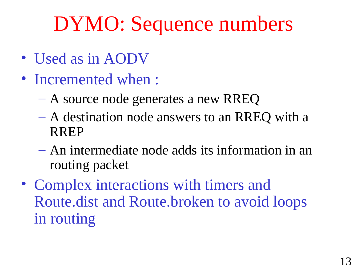## DYMO: Sequence numbers

- Used as in AODV
- Incremented when :
	- A source node generates a new RREQ
	- A destination node answers to an RREQ with a RREP
	- An intermediate node adds its information in an routing packet
- Complex interactions with timers and Route.dist and Route.broken to avoid loops in routing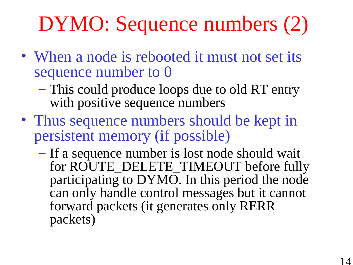# DYMO: Sequence numbers (2)

- When a node is rebooted it must not set its sequence number to 0
	- This could produce loops due to old RT entry with positive sequence numbers
- Thus sequence numbers should be kept in persistent memory (if possible)
	- If a sequence number is lost node should wait for ROUTE\_DELETE\_TIMEOUT before fully participating to DYMO. In this period the node can only handle control messages but it cannot forward packets (it generates only RERR packets)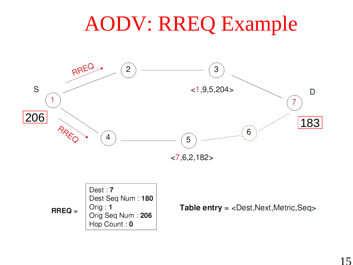## AODV: RREQ Example



Table entry = <Dest, Next, Metric, Seq>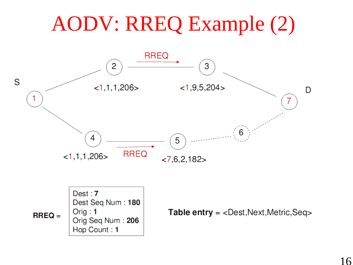## AODV: RREQ Example (2)



 $RREQ =$ 

 $Orig: 1$ 

Orig Seq Num: 206

Hop Count: 1

**Table entry = <Dest, Next, Metric, Seq>**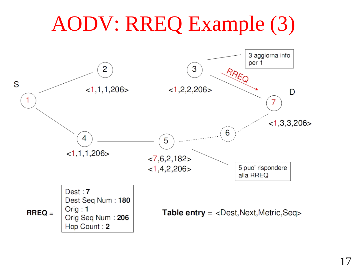## AODV: RREQ Example (3)

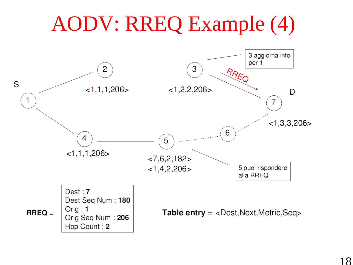## AODV: RREQ Example (4)

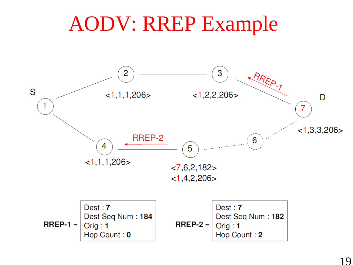#### AODV: RREP Example

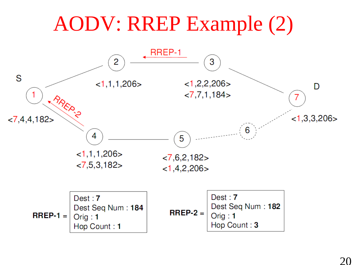#### AODV: RREP Example (2)RREP-1 2 3 S  $<1,1,1,206>$  $<1,2,2,206>$ D  $27,7,1,184$ **RREP ?**  $<1,3,3,206>$  $< 7,4,4,182>$ 6 4 5  $<1,1,1,206>$  $< 7, 6, 2, 182 >$  $< 7, 5, 3, 182 >$  $<1,4,2,206>$  $Dest:7$  $Dest:7$ Dest Seq Num: 182 Dest Seq Num: 184  $RREP-2 =$  $RREP-1 =$  $Orig: 1$  $O$ rig: 1 Hop Count: 3 Hop Count: 1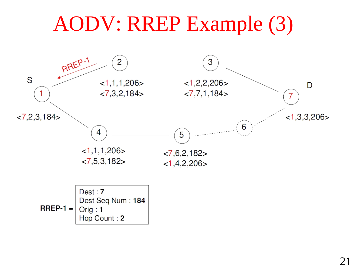#### AODV: RREP Example (3)RREP-1 2 3 S  $<1,2,2,206>$  $<1,1,1,206>$ D  $< 7,3,2,184$  $< 7, 7, 1, 184 >$ 1 7  $<1,3,3,206$  $< 7,2,3,184$ 6 4 5  $<1,1,1,206>$  $< 7, 6, 2, 182 >$  $< 7, 5, 3, 182 >$  $<1,4,2,206>$ Dest: 7 Dest Seq Num: 184

 $RREP-1 =$  $Orig:1$ Hop Count: 2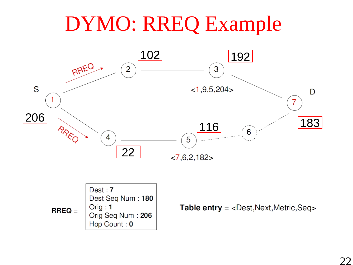## DYMO: RREQ Example





**Table entry** =  $<$  Dest, Next, Metric, Seq>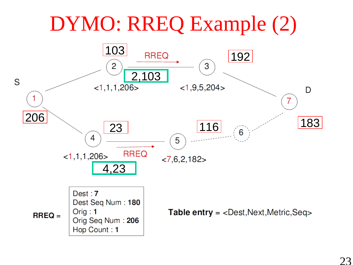#### DYMO: RREQ Example (2)

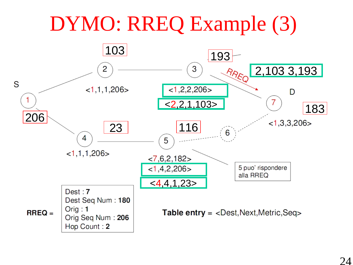#### DYMO: RREQ Example (3)

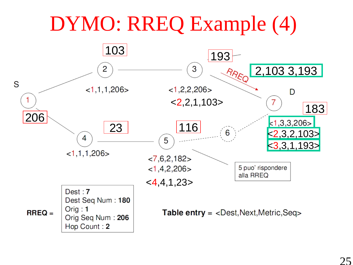#### DYMO: RREQ Example (4)

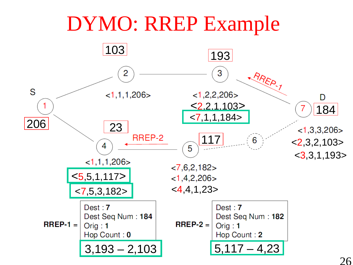#### DYMO: RREP Example

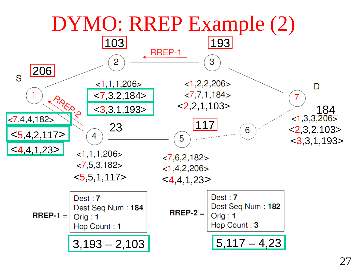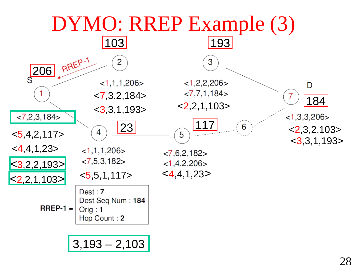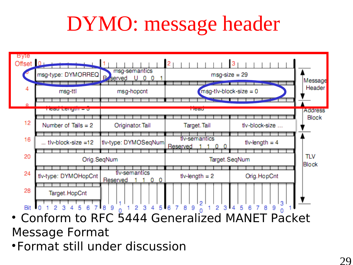## DYMO: message header



• Conform to RFC 5444 Generalized MANET Packet Message Format

Format still under discussion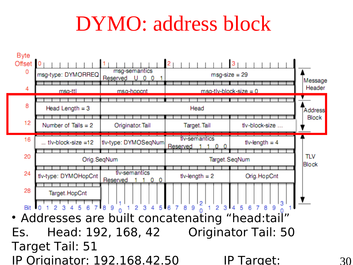## DYMO: address block

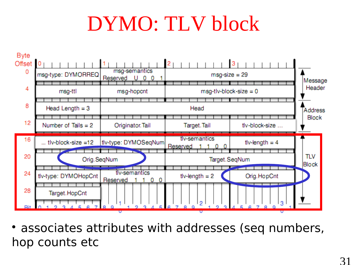## DYMO: TLV block



 associates attributes with addresses (seq numbers, hop counts etc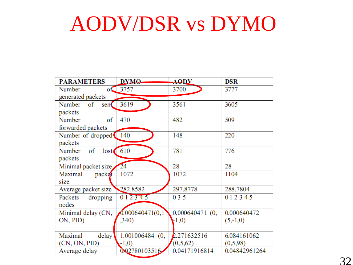#### AODV/DSR vs DYMO

| <b>PARAMETERS</b>      | D.Y.M.O.          | <b>AODV</b>       | <b>DSR</b>    |
|------------------------|-------------------|-------------------|---------------|
| of<br>Number           | 3757              | 3700              | 3777          |
| generated packets      |                   |                   |               |
| Number of<br>sent      | 3619              | 3561              | 3605          |
| packets                |                   |                   |               |
| Number<br>of           | 470               | 482               | 509           |
| forwarded packets      |                   |                   |               |
| Number of dropped      | 140               | 148               | 220           |
| packets                |                   |                   |               |
| $\sigma$ f<br>Number   | lost 610          | 781               | 776           |
| packets                |                   |                   |               |
| Minimal packet size 24 |                   | 28                | 28            |
| Maximal<br>packet      | 1072              | 1072              | 1104          |
| size                   |                   |                   |               |
| Average packet size    | 282.8582          | 297.8778          | 288.7804      |
| Packets<br>dropping    | 012345            | 0 3 5             | 0 1 2 3 4 5   |
| nodes                  |                   |                   |               |
| Minimal delay (CN,     | 0.000640471(0,1)  | $0.000640471$ (0, | 0.000640472   |
| ON, PID)               | ,340)             | $-1,0)$           | $(5,-1,0)$    |
|                        |                   |                   |               |
| Maximal<br>delay       | $1.001006484$ (0, | 2.271632516       | 6.084161062   |
| (CN, ON, PID)          | $-1,0)$           | (0,5,62)          | (0,5,98)      |
| Average delay          | 0.02780103516     | 0.04171916814     | 0.04842961264 |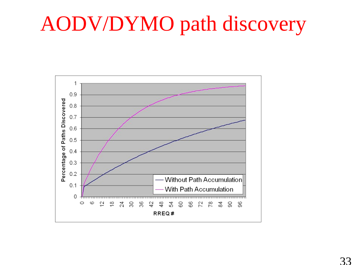## AODV/DYMO path discovery

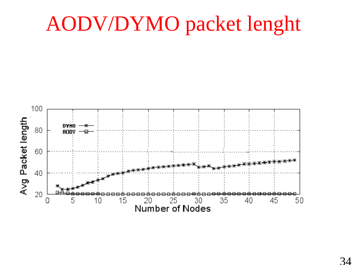## AODV/DYMO packet lenght